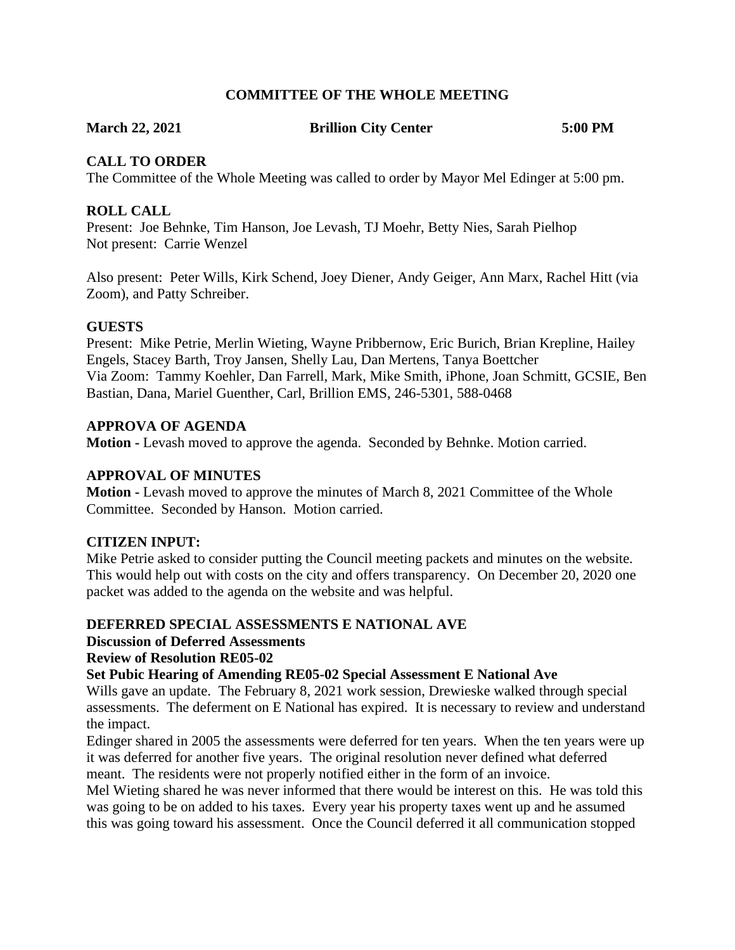# **COMMITTEE OF THE WHOLE MEETING**

**March 22, 2021 Brillion City Center 5:00 PM**

# **CALL TO ORDER**

The Committee of the Whole Meeting was called to order by Mayor Mel Edinger at 5:00 pm.

# **ROLL CALL**

Present: Joe Behnke, Tim Hanson, Joe Levash, TJ Moehr, Betty Nies, Sarah Pielhop Not present: Carrie Wenzel

Also present: Peter Wills, Kirk Schend, Joey Diener, Andy Geiger, Ann Marx, Rachel Hitt (via Zoom), and Patty Schreiber.

# **GUESTS**

Present: Mike Petrie, Merlin Wieting, Wayne Pribbernow, Eric Burich, Brian Krepline, Hailey Engels, Stacey Barth, Troy Jansen, Shelly Lau, Dan Mertens, Tanya Boettcher Via Zoom: Tammy Koehler, Dan Farrell, Mark, Mike Smith, iPhone, Joan Schmitt, GCSIE, Ben Bastian, Dana, Mariel Guenther, Carl, Brillion EMS, 246-5301, 588-0468

# **APPROVA OF AGENDA**

**Motion -** Levash moved to approve the agenda. Seconded by Behnke. Motion carried.

# **APPROVAL OF MINUTES**

**Motion -** Levash moved to approve the minutes of March 8, 2021 Committee of the Whole Committee. Seconded by Hanson. Motion carried.

### **CITIZEN INPUT:**

Mike Petrie asked to consider putting the Council meeting packets and minutes on the website. This would help out with costs on the city and offers transparency. On December 20, 2020 one packet was added to the agenda on the website and was helpful.

# **DEFERRED SPECIAL ASSESSMENTS E NATIONAL AVE**

**Discussion of Deferred Assessments**

# **Review of Resolution RE05-02**

### **Set Pubic Hearing of Amending RE05-02 Special Assessment E National Ave**

Wills gave an update. The February 8, 2021 work session, Drewieske walked through special assessments. The deferment on E National has expired. It is necessary to review and understand the impact.

Edinger shared in 2005 the assessments were deferred for ten years. When the ten years were up it was deferred for another five years. The original resolution never defined what deferred meant. The residents were not properly notified either in the form of an invoice.

Mel Wieting shared he was never informed that there would be interest on this. He was told this was going to be on added to his taxes. Every year his property taxes went up and he assumed this was going toward his assessment. Once the Council deferred it all communication stopped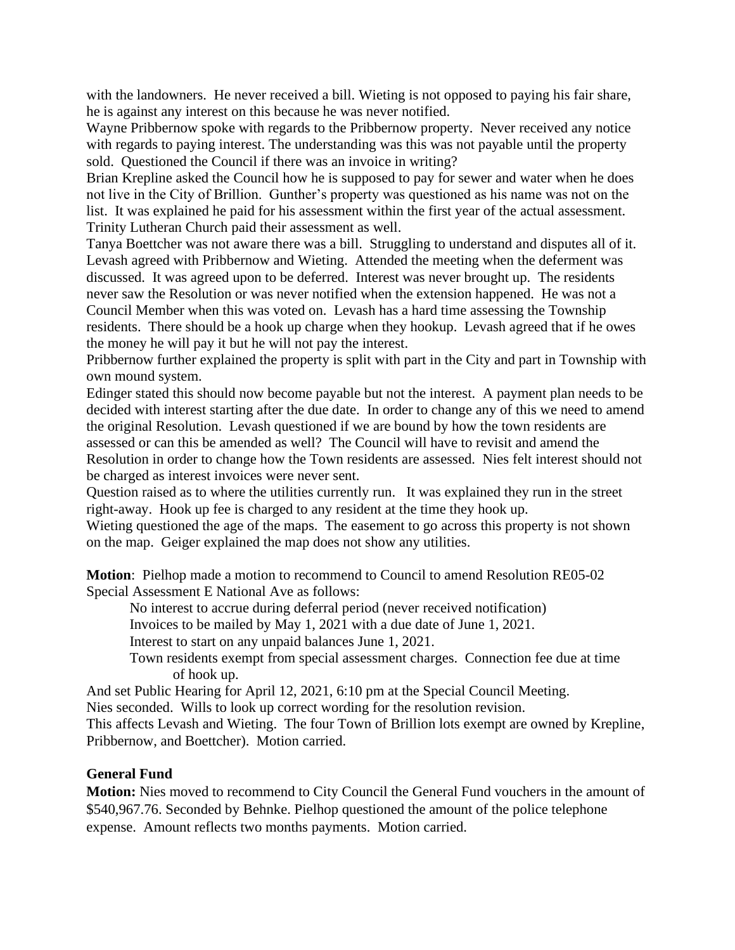with the landowners. He never received a bill. Wieting is not opposed to paying his fair share, he is against any interest on this because he was never notified.

Wayne Pribbernow spoke with regards to the Pribbernow property. Never received any notice with regards to paying interest. The understanding was this was not payable until the property sold. Questioned the Council if there was an invoice in writing?

Brian Krepline asked the Council how he is supposed to pay for sewer and water when he does not live in the City of Brillion. Gunther's property was questioned as his name was not on the list. It was explained he paid for his assessment within the first year of the actual assessment. Trinity Lutheran Church paid their assessment as well.

Tanya Boettcher was not aware there was a bill. Struggling to understand and disputes all of it. Levash agreed with Pribbernow and Wieting. Attended the meeting when the deferment was discussed. It was agreed upon to be deferred. Interest was never brought up. The residents never saw the Resolution or was never notified when the extension happened. He was not a Council Member when this was voted on. Levash has a hard time assessing the Township residents. There should be a hook up charge when they hookup. Levash agreed that if he owes the money he will pay it but he will not pay the interest.

Pribbernow further explained the property is split with part in the City and part in Township with own mound system.

Edinger stated this should now become payable but not the interest. A payment plan needs to be decided with interest starting after the due date. In order to change any of this we need to amend the original Resolution. Levash questioned if we are bound by how the town residents are assessed or can this be amended as well? The Council will have to revisit and amend the Resolution in order to change how the Town residents are assessed. Nies felt interest should not be charged as interest invoices were never sent.

Question raised as to where the utilities currently run. It was explained they run in the street right-away. Hook up fee is charged to any resident at the time they hook up.

Wieting questioned the age of the maps. The easement to go across this property is not shown on the map. Geiger explained the map does not show any utilities.

**Motion**: Pielhop made a motion to recommend to Council to amend Resolution RE05-02 Special Assessment E National Ave as follows:

No interest to accrue during deferral period (never received notification)

Invoices to be mailed by May 1, 2021 with a due date of June 1, 2021.

Interest to start on any unpaid balances June 1, 2021.

Town residents exempt from special assessment charges. Connection fee due at time of hook up.

And set Public Hearing for April 12, 2021, 6:10 pm at the Special Council Meeting.

Nies seconded. Wills to look up correct wording for the resolution revision.

This affects Levash and Wieting. The four Town of Brillion lots exempt are owned by Krepline, Pribbernow, and Boettcher). Motion carried.

### **General Fund**

**Motion:** Nies moved to recommend to City Council the General Fund vouchers in the amount of \$540,967.76. Seconded by Behnke. Pielhop questioned the amount of the police telephone expense. Amount reflects two months payments. Motion carried.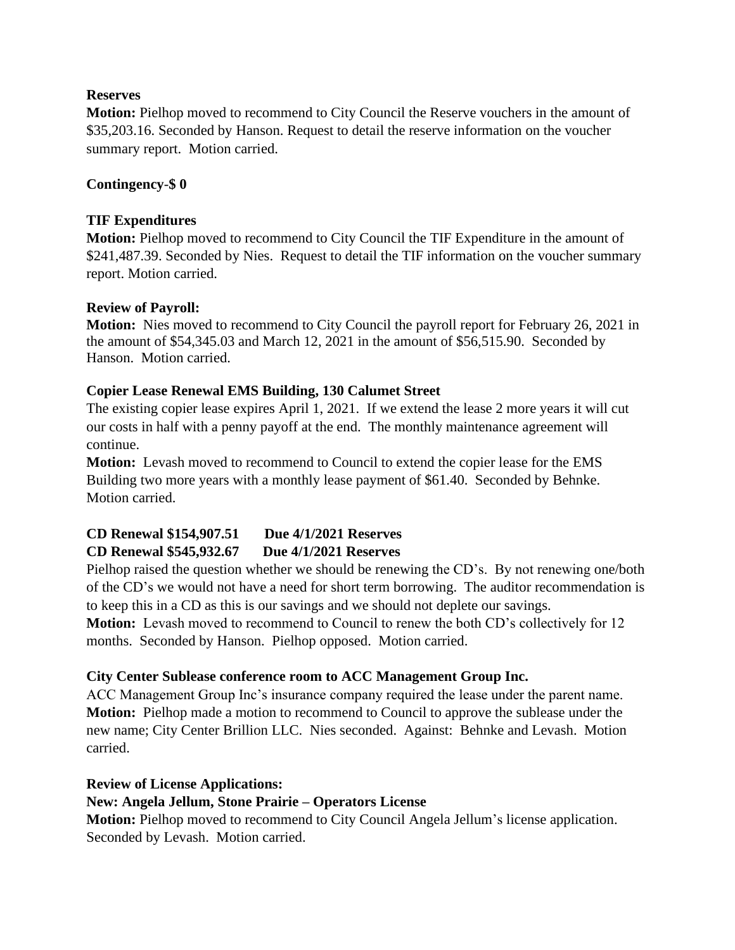# **Reserves**

**Motion:** Pielhop moved to recommend to City Council the Reserve vouchers in the amount of \$35,203.16. Seconded by Hanson. Request to detail the reserve information on the voucher summary report. Motion carried.

# **Contingency**-**\$ 0**

# **TIF Expenditures**

**Motion:** Pielhop moved to recommend to City Council the TIF Expenditure in the amount of \$241,487.39. Seconded by Nies. Request to detail the TIF information on the voucher summary report. Motion carried.

# **Review of Payroll:**

**Motion:** Nies moved to recommend to City Council the payroll report for February 26, 2021 in the amount of \$54,345.03 and March 12, 2021 in the amount of \$56,515.90. Seconded by Hanson. Motion carried.

# **Copier Lease Renewal EMS Building, 130 Calumet Street**

The existing copier lease expires April 1, 2021. If we extend the lease 2 more years it will cut our costs in half with a penny payoff at the end. The monthly maintenance agreement will continue.

**Motion:** Levash moved to recommend to Council to extend the copier lease for the EMS Building two more years with a monthly lease payment of \$61.40. Seconded by Behnke. Motion carried.

### **CD Renewal \$154,907.51 Due 4/1/2021 Reserves CD Renewal \$545,932.67 Due 4/1/2021 Reserves**

Pielhop raised the question whether we should be renewing the CD's. By not renewing one/both of the CD's we would not have a need for short term borrowing. The auditor recommendation is to keep this in a CD as this is our savings and we should not deplete our savings.

**Motion:** Levash moved to recommend to Council to renew the both CD's collectively for 12 months. Seconded by Hanson. Pielhop opposed. Motion carried.

# **City Center Sublease conference room to ACC Management Group Inc.**

ACC Management Group Inc's insurance company required the lease under the parent name. **Motion:** Pielhop made a motion to recommend to Council to approve the sublease under the new name; City Center Brillion LLC. Nies seconded. Against: Behnke and Levash. Motion carried.

### **Review of License Applications:**

# **New: Angela Jellum, Stone Prairie – Operators License**

**Motion:** Pielhop moved to recommend to City Council Angela Jellum's license application. Seconded by Levash. Motion carried.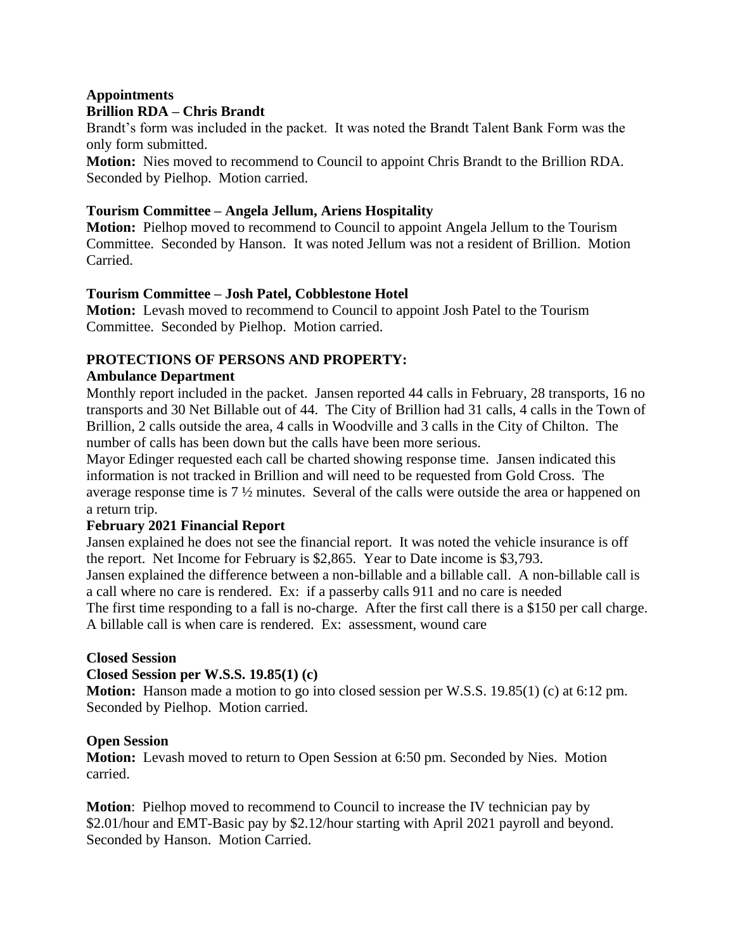# **Appointments Brillion RDA – Chris Brandt**

Brandt's form was included in the packet. It was noted the Brandt Talent Bank Form was the only form submitted.

**Motion:** Nies moved to recommend to Council to appoint Chris Brandt to the Brillion RDA. Seconded by Pielhop. Motion carried.

# **Tourism Committee – Angela Jellum, Ariens Hospitality**

**Motion:** Pielhop moved to recommend to Council to appoint Angela Jellum to the Tourism Committee. Seconded by Hanson. It was noted Jellum was not a resident of Brillion. Motion Carried.

# **Tourism Committee – Josh Patel, Cobblestone Hotel**

**Motion:** Levash moved to recommend to Council to appoint Josh Patel to the Tourism Committee. Seconded by Pielhop. Motion carried.

# **PROTECTIONS OF PERSONS AND PROPERTY:**

# **Ambulance Department**

Monthly report included in the packet. Jansen reported 44 calls in February, 28 transports, 16 no transports and 30 Net Billable out of 44. The City of Brillion had 31 calls, 4 calls in the Town of Brillion, 2 calls outside the area, 4 calls in Woodville and 3 calls in the City of Chilton. The number of calls has been down but the calls have been more serious.

Mayor Edinger requested each call be charted showing response time. Jansen indicated this information is not tracked in Brillion and will need to be requested from Gold Cross. The average response time is 7 ½ minutes. Several of the calls were outside the area or happened on a return trip.

# **February 2021 Financial Report**

Jansen explained he does not see the financial report. It was noted the vehicle insurance is off the report. Net Income for February is \$2,865. Year to Date income is \$3,793. Jansen explained the difference between a non-billable and a billable call. A non-billable call is a call where no care is rendered. Ex: if a passerby calls 911 and no care is needed The first time responding to a fall is no-charge. After the first call there is a \$150 per call charge. A billable call is when care is rendered. Ex: assessment, wound care

# **Closed Session**

# **Closed Session per W.S.S. 19.85(1) (c)**

**Motion:** Hanson made a motion to go into closed session per W.S.S. 19.85(1) (c) at 6:12 pm. Seconded by Pielhop. Motion carried.

### **Open Session**

**Motion:** Levash moved to return to Open Session at 6:50 pm. Seconded by Nies. Motion carried.

**Motion**: Pielhop moved to recommend to Council to increase the IV technician pay by \$2.01/hour and EMT-Basic pay by \$2.12/hour starting with April 2021 payroll and beyond. Seconded by Hanson. Motion Carried.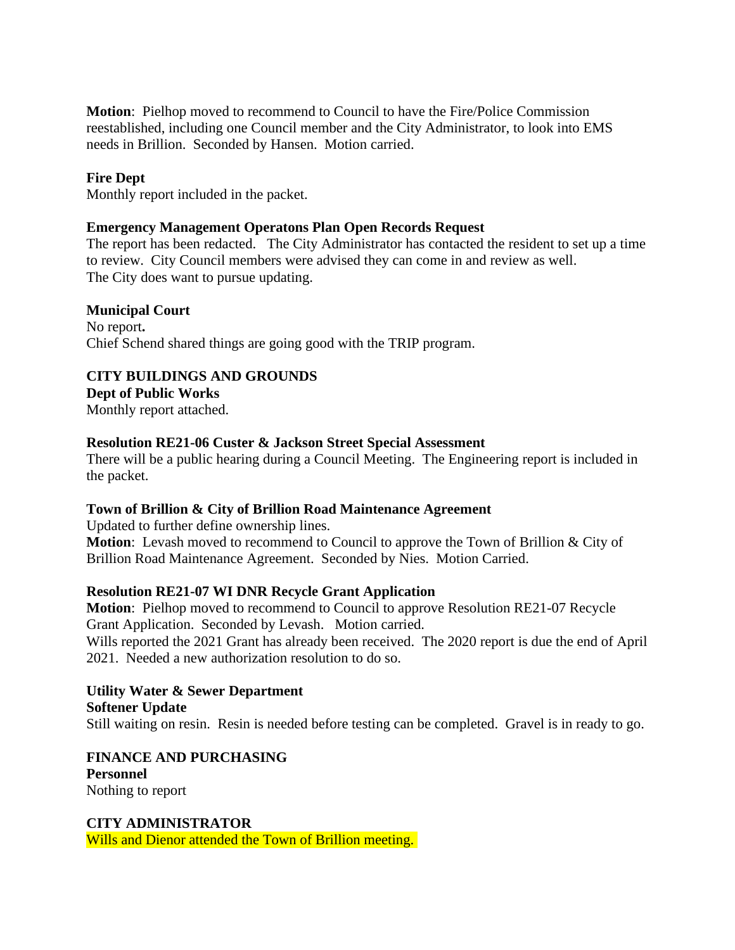**Motion**: Pielhop moved to recommend to Council to have the Fire/Police Commission reestablished, including one Council member and the City Administrator, to look into EMS needs in Brillion. Seconded by Hansen. Motion carried.

# **Fire Dept**

Monthly report included in the packet.

### **Emergency Management Operatons Plan Open Records Request**

The report has been redacted. The City Administrator has contacted the resident to set up a time to review. City Council members were advised they can come in and review as well. The City does want to pursue updating.

#### **Municipal Court**

No report**.** Chief Schend shared things are going good with the TRIP program.

### **CITY BUILDINGS AND GROUNDS**

**Dept of Public Works**

Monthly report attached.

### **Resolution RE21-06 Custer & Jackson Street Special Assessment**

There will be a public hearing during a Council Meeting. The Engineering report is included in the packet.

### **Town of Brillion & City of Brillion Road Maintenance Agreement**

Updated to further define ownership lines. **Motion**: Levash moved to recommend to Council to approve the Town of Brillion & City of Brillion Road Maintenance Agreement. Seconded by Nies. Motion Carried.

### **Resolution RE21-07 WI DNR Recycle Grant Application**

**Motion**: Pielhop moved to recommend to Council to approve Resolution RE21-07 Recycle Grant Application. Seconded by Levash. Motion carried. Wills reported the 2021 Grant has already been received. The 2020 report is due the end of April 2021. Needed a new authorization resolution to do so.

# **Utility Water & Sewer Department Softener Update**

Still waiting on resin. Resin is needed before testing can be completed. Gravel is in ready to go.

# **FINANCE AND PURCHASING Personnel**

Nothing to report

### **CITY ADMINISTRATOR**

Wills and Dienor attended the Town of Brillion meeting.